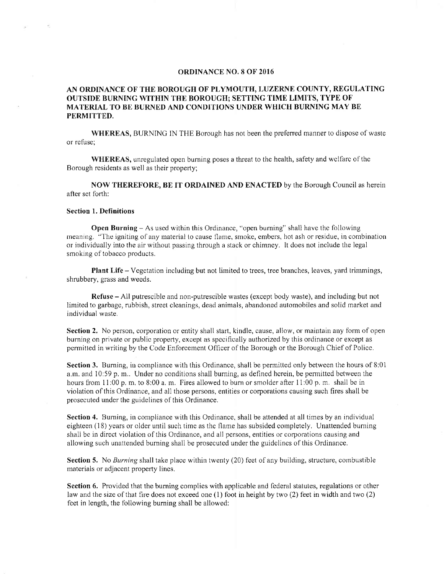## ORDINANCE NO.8 OF 2016

## AN ORDINANCE OF THE BOROUGH OF PLYMOUTH, LUZERNE COUNTY, REGULATING OUTSIDE BURNING WITHIN THE BOROUGH; SETTING TIME LIMITS, TYPE OF MATERIAL TO BE BURNED AND CONDI'TIONS UNDER WHICH BURNING MAY BE PERMITTED.

WHEREAS, BURNINC IN THE Borough has not been the prefened manner to dispose of waste or refuse;

WHEREAS, unregulated open burring poses a threat to the health, safety and wclfarc of the Borough residents as well as their property;

NOW THEREFORE, BE IT ORDAINED AND ENACTED by the Borough Council as herein afler set forth:

## Section l. Definitions

Open Burning - As used within this Ordinance, "open burning" shall have the following rneaning. "The igniting of any material to cause flame, smoke, embers, hot ash or residue, in combination or rndividually into the air without passing through a stack or chimney, It does not include the legal smoking of tobacco products.

Plant Life - Vegetation including but not limited to trees, tree branches, leaves, yard trimmings, shrubbery, grass and weeds.

Refuse - All putrescible and non-putrescible wastes (except body waste), and including but not limited to garbage, rubbish, street cleanings, dead animals, abandoned automobiles and solid market and individual waste.

Section 2. No person, corporation or entity shall start, kindle, cause, allow, or maintain any form of open burning on private or public property, except as specifically authorized by this ordinance or except as permitted in writing by the Code Enforcement Officer of the Borough or the Borough Chief of Police.

Section 3. Burning, iu compliance with this Ordinance, shall be permitted only between the hours of 8:01 a, m, and 10:59 p, m.. Under no conditions shall burning, as defined hcrein, be permitted between the hours from 11:00 p, m, to 8:00 a, m. Fires allowed to burn or smolder after 11:00 p, m, shall be in violation of this Ordinance, and all those persons, entities or corporations causing such fires shall be prosecuted under the guidelines of this Ordinance,

Section 4, Burning, in compliance with this Ordinance, shall be attended at all times by an individual eighteen (18) years or older until such time as the flame has subsided cornpletely, Unattended burning shall be in direct violation of this Ordinance, and all persons, entities or corporations causing and allowing such unattended burning shall be prosecutcd under the guidelines of this Ordinance,

Section 5. No Burning shall take place within twenty (20) feet of any building, structure, combustible materials or adjacent property lines.

Section 6. Provided that the burning complies with applicable and federal statutes, regulations or other law and the size of that fire does not exceed one (l) foot in height by two (2) feet in width and two (2) feet in length, the following burning shall be allowed: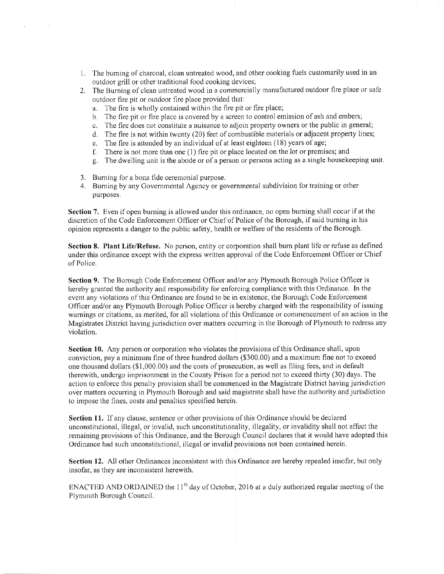- <sup>1</sup>. The burning of charcoal, clean untreated wood, and other cooking fuels customarily used in an outdoor grill or other traditional food cooking devices;
- 2. The Burning of clean untreated wood in a commercially manufactured outdoor fire place or safe outdoor fire pit or outdoor fire place provided that:
	- a. The fire is wholly contained within the fire pit or fire place;
	- b. The fire pit or fire place is covered by a screen to control emission of ash and embers;
	- c, The fire does not constitute a nuisance to adjoin property owners or the public in general;
	- d. The fire is not within twenty (20) feet of combustible materials or adjacent property lines;
	- e. The fire is attended by an individual of at least eighteen  $(18)$  years of age;
	- f. There is not more than one  $(1)$  fire pit or place located on the lot or premises; and
	- C. The dwelling unit is the abode or of a person or persons acting as a single housekeeping unit.
- 3. Burning for a bona fide ceremonial purpose.

 $\sim$ 

4. Burning by any Governrnental Agency or governmental subdivision for training or other purposes.

Section 7. Even if open burning is allowed under this ordinance, no open burning shall occur if at the discretion of the Code Enforcement Officer or Chief of Police of the Borough, if said burning in his opinion represents a danger to the public safety, health or welfare of the residents of the Borough,

Section 8. Plant Life/Refuse. No person, entity or corporation shall burn plant life or refuse as defined under this ordinance except with the express written approval of the Code Enforcement Officer or Chief of Police,

Section 9. The Borough Code Enforcement Officer and/or any Plymouth Borough Police Officer is hereby granted the authority and responsibility for enforcing compliance with this Ordinance. In the event any violations of this Ordinance are found to be in existence, the Borough Code Enforcement Officer and/or any Plymouth Borough Police Officer is hereby charged with the responsibility of issuing warnings or citations, as merited, for all violations of this Ordinance or commencement of an action in the Magistrates District having jurisdiction over matters occurring in the Borough of Plymouth to redress any violation.

Section 10. Any person or corporation who violates the provisions of this Ordinance shall, upon conviction, pay a minimum fine of three hundred dollars  $(\$300,00)$  and a maximum fine not to exceed one thousand dollars (\$1,000.00) and the costs of prosecution, as well as filing fees, and in default therewith, undergo imprisonment in the County Prison for a period not to exceed thirty (30) days. The action to enforce this penalty provision shall be commenced in the Magistrate District having jurisdiction over matters occurring in Plymouth Borough and said magistrate shall have the authority and jurisdiction to impose the fines, costs and penalties specified herein.

Section 11. If any clause, sentence or other provisions of this Ordinance should be declared unconstitutional, illegal, or invalid, such unconstitutionality, illegality, or invalidity shall not affect the remaining provisions of this Ordinance, and the Borough Council declares that it would have adopted this Ordinance had such unconstitutional, illegal or invalid provisions not been contained herein.

Section 12. All other Ordinances inconsistent with this Ordinance are hereby repealed insofar, but only insofar, as they are inconsistent herewith,

ENACTED AND ORDAINED the  $11<sup>th</sup>$  day of October, 2016 at a duly authorized regular meeting of the Plymouth Borough Council.